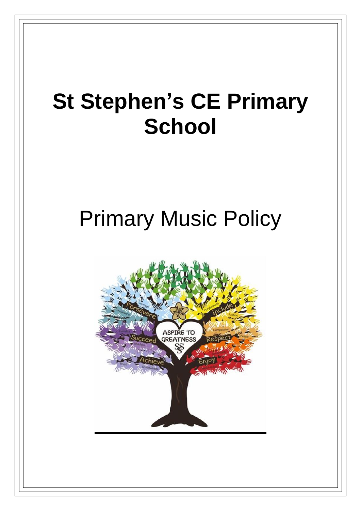## **St Stephen's CE Primary School**

# Primary Music Policy

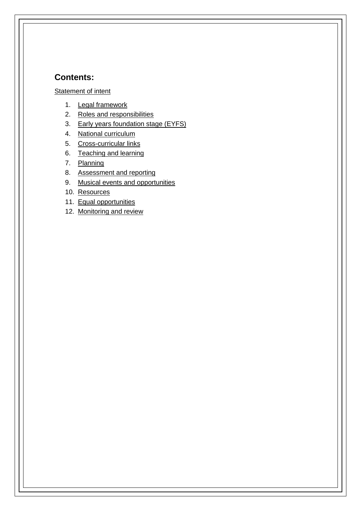## **Contents:**

#### **[Statement of intent](#page-2-0)**

- 1. [Legal framework](#page-3-0)
- 2. [Roles and responsibilities](#page-3-1)
- 3. [Early years foundation stage \(EYFS\)](#page-4-0)
- 4. [National curriculum](#page-4-1)
- 5. [Cross-curricular links](#page-5-0)
- 6. [Teaching and learning](#page-6-0)
- 7. [Planning](#page-7-0)
- 8. [Assessment and reporting](#page-8-0)
- 9. [Musical events and opportunities](#page-9-0)
- 10. [Resources](#page-9-1)
- 11. [Equal opportunities](#page-10-0)
- 12. [Monitoring and review](#page-10-1)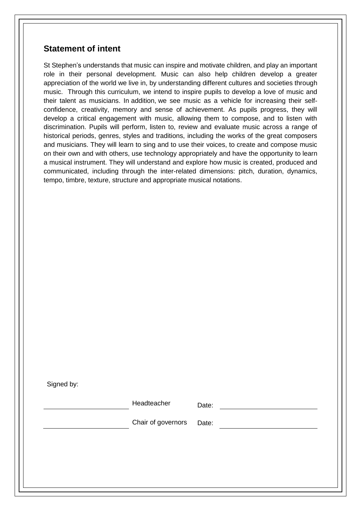## <span id="page-2-0"></span>**Statement of intent**

St Stephen's understands that music can inspire and motivate children, and play an important role in their personal development. Music can also help children develop a greater appreciation of the world we live in, by understanding different cultures and societies through music. Through this curriculum, we intend to inspire pupils to develop a love of music and their talent as musicians. In addition, we see music as a vehicle for increasing their selfconfidence, creativity, memory and sense of achievement. As pupils progress, they will develop a critical engagement with music, allowing them to compose, and to listen with discrimination. Pupils will perform, listen to, review and evaluate music across a range of historical periods, genres, styles and traditions, including the works of the great composers and musicians. They will learn to sing and to use their voices, to create and compose music on their own and with others, use technology appropriately and have the opportunity to learn a musical instrument. They will understand and explore how music is created, produced and communicated, including through the inter-related dimensions: pitch, duration, dynamics, tempo, timbre, texture, structure and appropriate musical notations.

Signed by:

|  | Headteacher        | Date: |  |
|--|--------------------|-------|--|
|  | Chair of governors | Date: |  |
|  |                    |       |  |
|  |                    |       |  |
|  |                    |       |  |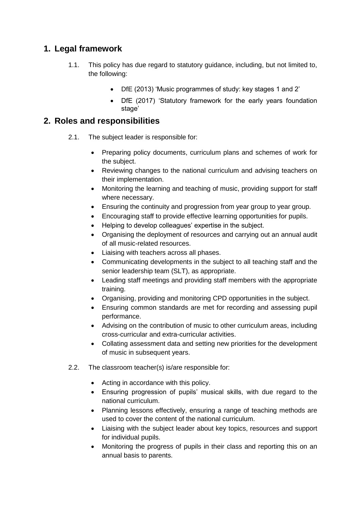## <span id="page-3-0"></span>**1. Legal framework**

- 1.1. This policy has due regard to statutory guidance, including, but not limited to, the following:
	- DfE (2013) 'Music programmes of study: key stages 1 and 2'
	- DfE (2017) 'Statutory framework for the early years foundation stage'

## <span id="page-3-1"></span>**2. Roles and responsibilities**

- 2.1. The subject leader is responsible for:
	- Preparing policy documents, curriculum plans and schemes of work for the subject.
	- Reviewing changes to the national curriculum and advising teachers on their implementation.
	- Monitoring the learning and teaching of music, providing support for staff where necessary.
	- Ensuring the continuity and progression from year group to year group.
	- Encouraging staff to provide effective learning opportunities for pupils.
	- Helping to develop colleagues' expertise in the subject.
	- Organising the deployment of resources and carrying out an annual audit of all music-related resources.
	- Liaising with teachers across all phases.
	- Communicating developments in the subject to all teaching staff and the senior leadership team (SLT), as appropriate.
	- Leading staff meetings and providing staff members with the appropriate training.
	- Organising, providing and monitoring CPD opportunities in the subject.
	- Ensuring common standards are met for recording and assessing pupil performance.
	- Advising on the contribution of music to other curriculum areas, including cross-curricular and extra-curricular activities.
	- Collating assessment data and setting new priorities for the development of music in subsequent years.
- 2.2. The classroom teacher(s) is/are responsible for:
	- Acting in accordance with this policy.
	- Ensuring progression of pupils' musical skills, with due regard to the national curriculum.
	- Planning lessons effectively, ensuring a range of teaching methods are used to cover the content of the national curriculum.
	- Liaising with the subject leader about key topics, resources and support for individual pupils.
	- Monitoring the progress of pupils in their class and reporting this on an annual basis to parents.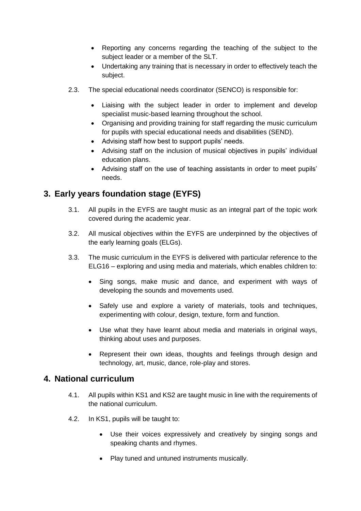- Reporting any concerns regarding the teaching of the subject to the subject leader or a member of the SLT.
- Undertaking any training that is necessary in order to effectively teach the subject.
- 2.3. The special educational needs coordinator (SENCO) is responsible for:
	- Liaising with the subject leader in order to implement and develop specialist music-based learning throughout the school.
	- Organising and providing training for staff regarding the music curriculum for pupils with special educational needs and disabilities (SEND).
	- Advising staff how best to support pupils' needs.
	- Advising staff on the inclusion of musical objectives in pupils' individual education plans.
	- Advising staff on the use of teaching assistants in order to meet pupils' needs.

## <span id="page-4-0"></span>**3. Early years foundation stage (EYFS)**

- 3.1. All pupils in the EYFS are taught music as an integral part of the topic work covered during the academic year.
- 3.2. All musical objectives within the EYFS are underpinned by the objectives of the early learning goals (ELGs).
- 3.3. The music curriculum in the EYFS is delivered with particular reference to the ELG16 – exploring and using media and materials, which enables children to:
	- Sing songs, make music and dance, and experiment with ways of developing the sounds and movements used.
	- Safely use and explore a variety of materials, tools and techniques, experimenting with colour, design, texture, form and function.
	- Use what they have learnt about media and materials in original ways, thinking about uses and purposes.
	- Represent their own ideas, thoughts and feelings through design and technology, art, music, dance, role-play and stores.

## <span id="page-4-1"></span>**4. National curriculum**

- 4.1. All pupils within KS1 and KS2 are taught music in line with the requirements of the national curriculum.
- 4.2. In KS1, pupils will be taught to:
	- Use their voices expressively and creatively by singing songs and speaking chants and rhymes.
	- Play tuned and untuned instruments musically.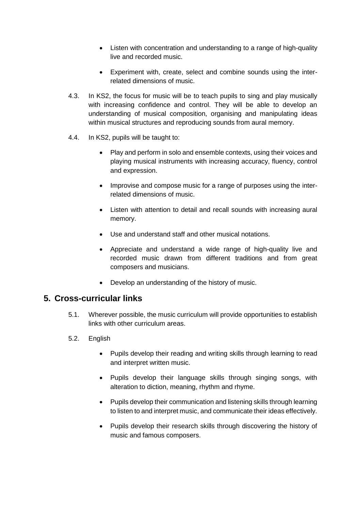- Listen with concentration and understanding to a range of high-quality live and recorded music.
- Experiment with, create, select and combine sounds using the interrelated dimensions of music.
- 4.3. In KS2, the focus for music will be to teach pupils to sing and play musically with increasing confidence and control. They will be able to develop an understanding of musical composition, organising and manipulating ideas within musical structures and reproducing sounds from aural memory.
- 4.4. In KS2, pupils will be taught to:
	- Play and perform in solo and ensemble contexts, using their voices and playing musical instruments with increasing accuracy, fluency, control and expression.
	- Improvise and compose music for a range of purposes using the interrelated dimensions of music.
	- Listen with attention to detail and recall sounds with increasing aural memory.
	- Use and understand staff and other musical notations.
	- Appreciate and understand a wide range of high-quality live and recorded music drawn from different traditions and from great composers and musicians.
	- Develop an understanding of the history of music.

## <span id="page-5-0"></span>**5. Cross-curricular links**

- 5.1. Wherever possible, the music curriculum will provide opportunities to establish links with other curriculum areas.
- 5.2. English
	- Pupils develop their reading and writing skills through learning to read and interpret written music.
	- Pupils develop their language skills through singing songs, with alteration to diction, meaning, rhythm and rhyme.
	- Pupils develop their communication and listening skills through learning to listen to and interpret music, and communicate their ideas effectively.
	- Pupils develop their research skills through discovering the history of music and famous composers.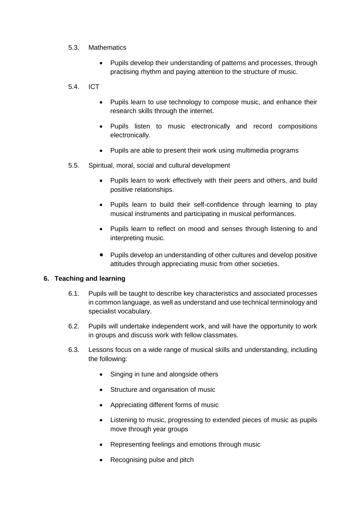#### 5.3. Mathematics

• Pupils develop their understanding of patterns and processes, through practising rhythm and paying attention to the structure of music.

#### 5.4. ICT

- Pupils learn to use technology to compose music, and enhance their research skills through the internet.
- Pupils listen to music electronically and record compositions electronically.
- Pupils are able to present their work using multimedia programs
- 5.5. Spiritual, moral, social and cultural development
	- Pupils learn to work effectively with their peers and others, and build positive relationships.
	- Pupils learn to build their self-confidence through learning to play musical instruments and participating in musical performances.
	- Pupils learn to reflect on mood and senses through listening to and interpreting music.
	- Pupils develop an understanding of other cultures and develop positive attitudes through appreciating music from other societies.

#### <span id="page-6-0"></span>**6. Teaching and learning**

- 6.1. Pupils will be taught to describe key characteristics and associated processes in common language, as well as understand and use technical terminology and specialist vocabulary.
- 6.2. Pupils will undertake independent work, and will have the opportunity to work in groups and discuss work with fellow classmates.
- 6.3. Lessons focus on a wide range of musical skills and understanding, including the following:
	- Singing in tune and alongside others
	- Structure and organisation of music
	- Appreciating different forms of music
	- Listening to music, progressing to extended pieces of music as pupils move through year groups
	- Representing feelings and emotions through music
	- Recognising pulse and pitch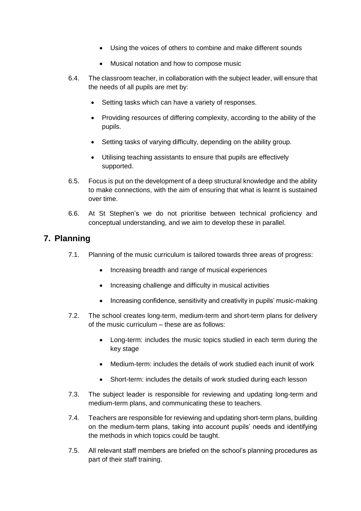- Using the voices of others to combine and make different sounds
- Musical notation and how to compose music
- 6.4. The classroom teacher, in collaboration with the subject leader, will ensure that the needs of all pupils are met by:
	- Setting tasks which can have a variety of responses.
	- Providing resources of differing complexity, according to the ability of the pupils.
	- Setting tasks of varying difficulty, depending on the ability group.
	- Utilising teaching assistants to ensure that pupils are effectively supported.
- 6.5. Focus is put on the development of a deep structural knowledge and the ability to make connections, with the aim of ensuring that what is learnt is sustained over time.
- 6.6. At St Stephen's we do not prioritise between technical proficiency and conceptual understanding, and we aim to develop these in parallel.

## <span id="page-7-0"></span>**7. Planning**

- 7.1. Planning of the music curriculum is tailored towards three areas of progress:
	- Increasing breadth and range of musical experiences
	- Increasing challenge and difficulty in musical activities
	- Increasing confidence, sensitivity and creativity in pupils' music-making
- 7.2. The school creates long-term, medium-term and short-term plans for delivery of the music curriculum – these are as follows:
	- Long-term: includes the music topics studied in each term during the key stage
	- Medium-term: includes the details of work studied each inunit of work
	- Short-term: includes the details of work studied during each lesson
- 7.3. The subject leader is responsible for reviewing and updating long-term and medium-term plans, and communicating these to teachers.
- 7.4. Teachers are responsible for reviewing and updating short-term plans, building on the medium-term plans, taking into account pupils' needs and identifying the methods in which topics could be taught.
- 7.5. All relevant staff members are briefed on the school's planning procedures as part of their staff training.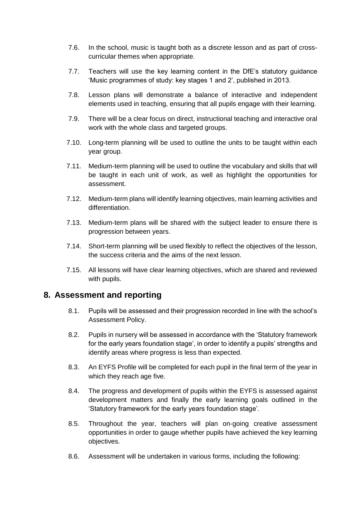- 7.6. In the school, music is taught both as a discrete lesson and as part of crosscurricular themes when appropriate.
- 7.7. Teachers will use the key learning content in the DfE's statutory guidance 'Music programmes of study: key stages 1 and 2', published in 2013.
- 7.8. Lesson plans will demonstrate a balance of interactive and independent elements used in teaching, ensuring that all pupils engage with their learning.
- 7.9. There will be a clear focus on direct, instructional teaching and interactive oral work with the whole class and targeted groups.
- 7.10. Long-term planning will be used to outline the units to be taught within each year group.
- 7.11. Medium-term planning will be used to outline the vocabulary and skills that will be taught in each unit of work, as well as highlight the opportunities for assessment.
- 7.12. Medium-term plans will identify learning objectives, main learning activities and differentiation.
- 7.13. Medium-term plans will be shared with the subject leader to ensure there is progression between years.
- 7.14. Short-term planning will be used flexibly to reflect the objectives of the lesson, the success criteria and the aims of the next lesson.
- 7.15. All lessons will have clear learning objectives, which are shared and reviewed with pupils.

## <span id="page-8-0"></span>**8. Assessment and reporting**

- 8.1. Pupils will be assessed and their progression recorded in line with the school's Assessment Policy.
- 8.2. Pupils in nursery will be assessed in accordance with the 'Statutory framework for the early years foundation stage', in order to identify a pupils' strengths and identify areas where progress is less than expected.
- 8.3. An EYFS Profile will be completed for each pupil in the final term of the year in which they reach age five.
- 8.4. The progress and development of pupils within the EYFS is assessed against development matters and finally the early learning goals outlined in the 'Statutory framework for the early years foundation stage'.
- 8.5. Throughout the year, teachers will plan on-going creative assessment opportunities in order to gauge whether pupils have achieved the key learning objectives.
- 8.6. Assessment will be undertaken in various forms, including the following: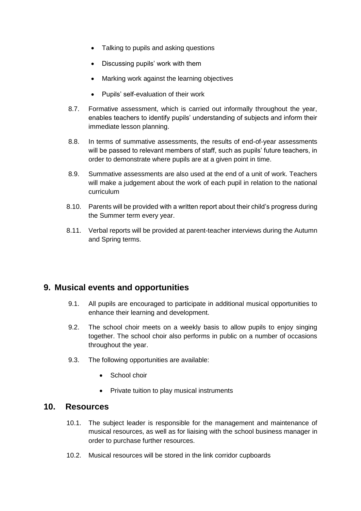- Talking to pupils and asking questions
- Discussing pupils' work with them
- Marking work against the learning objectives
- Pupils' self-evaluation of their work
- 8.7. Formative assessment, which is carried out informally throughout the year, enables teachers to identify pupils' understanding of subjects and inform their immediate lesson planning.
- 8.8. In terms of summative assessments, the results of end-of-year assessments will be passed to relevant members of staff, such as pupils' future teachers, in order to demonstrate where pupils are at a given point in time.
- 8.9. Summative assessments are also used at the end of a unit of work. Teachers will make a judgement about the work of each pupil in relation to the national curriculum
- 8.10. Parents will be provided with a written report about their child's progress during the Summer term every year.
- 8.11. Verbal reports will be provided at parent-teacher interviews during the Autumn and Spring terms.

## <span id="page-9-0"></span>**9. Musical events and opportunities**

- 9.1. All pupils are encouraged to participate in additional musical opportunities to enhance their learning and development.
- 9.2. The school choir meets on a weekly basis to allow pupils to enjoy singing together. The school choir also performs in public on a number of occasions throughout the year.
- 9.3. The following opportunities are available:
	- School choir
	- Private tuition to play musical instruments

#### <span id="page-9-1"></span>**10. Resources**

- 10.1. The subject leader is responsible for the management and maintenance of musical resources, as well as for liaising with the school business manager in order to purchase further resources.
- 10.2. Musical resources will be stored in the link corridor cupboards